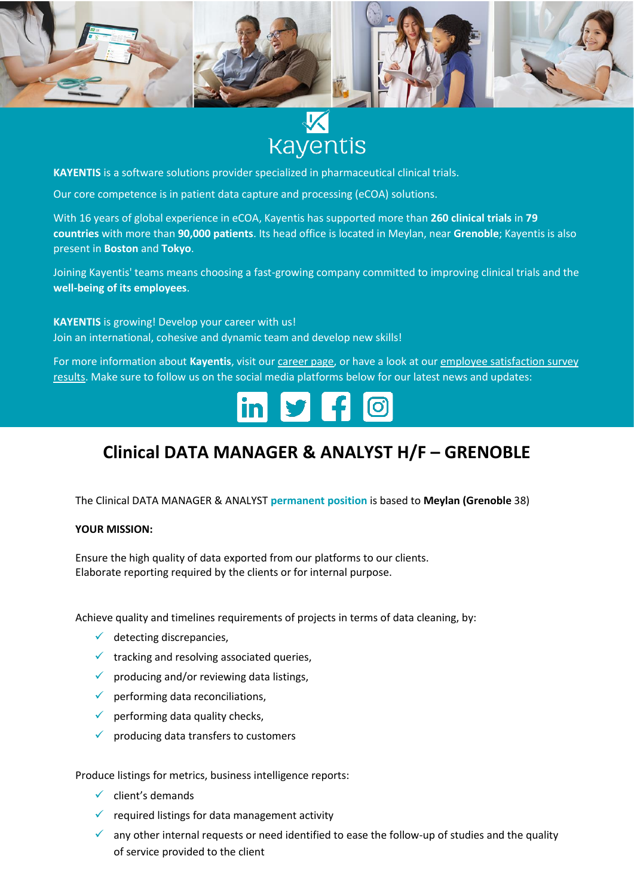

# **Kayentis**

**KAYENTIS** is a software solutions provider specialized in pharmaceutical clinical trials.

Our core competence is in patient data capture and processing (eCOA) solutions.

With 16 years of global experience in eCOA, Kayentis has supported more than **260 clinical trials** in **79 countries** with more than **90,000 patients**. Its head office is located in Meylan, near **Grenoble**; Kayentis is also present in **Boston** and **Tokyo**.

Joining Kayentis' teams means choosing a fast-growing company committed to improving clinical trials and the **well-being of its employees**.

**KAYENTIS** is growing! Develop your career with us! Join an international, cohesive and dynamic team and develop new skills!

For more information about **Kayentis**, visit ou[r career page,](https://kayentis.com/about-us/careers/) or have a look at ou[r employee satisfaction survey](https://kayentis.com/2019-employee-satisfaction-survey/)  [results.](https://kayentis.com/2019-employee-satisfaction-survey/) Make sure to follow us on the social media platforms below for our latest news and updates:



## **Clinical DATA MANAGER & ANALYST H/F – GRENOBLE**

The Clinical DATA MANAGER & ANALYST **permanent position** is based to **Meylan (Grenoble** 38)

#### **YOUR MISSION:**

Ensure the high quality of data exported from our platforms to our clients. Elaborate reporting required by the clients or for internal purpose.

Achieve quality and timelines requirements of projects in terms of data cleaning, by:

- $\checkmark$  detecting discrepancies,
- $\checkmark$  tracking and resolving associated queries,
- $\checkmark$  producing and/or reviewing data listings,
- $\checkmark$  performing data reconciliations,
- $\checkmark$  performing data quality checks,
- producing data transfers to customers

Produce listings for metrics, business intelligence reports:

- $\checkmark$  client's demands
- $\checkmark$  required listings for data management activity
- $\checkmark$  any other internal requests or need identified to ease the follow-up of studies and the quality of service provided to the client